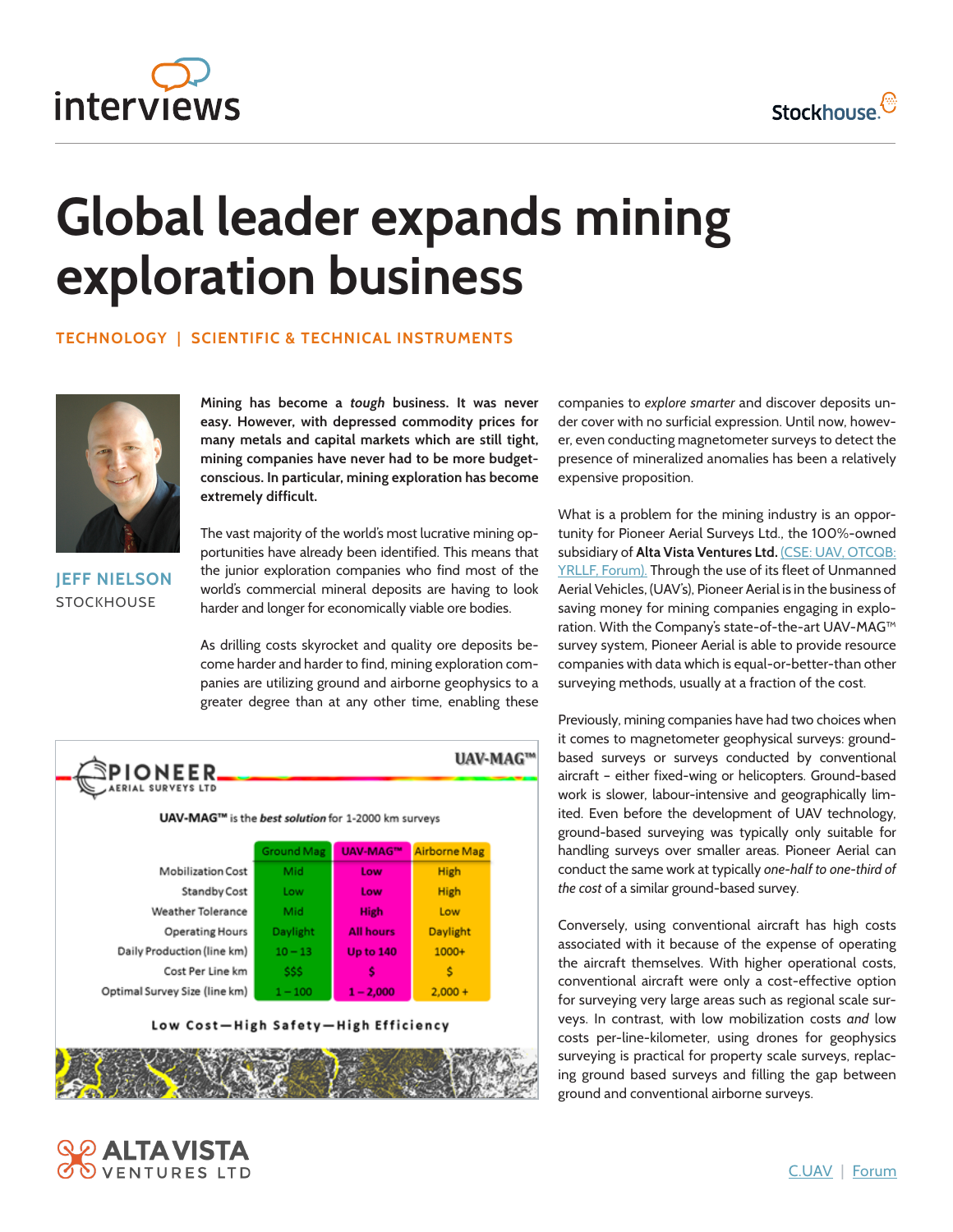



## **Global leader expands mining exploration business**

## **TECHNOLOGY | SCIENTIFIC & TECHNICAL INSTRUMENTS**



**JEFF NIELSON STOCKHOUSE** 

**ROOK** 

**2 ALTAVISTA**<br>S ventures ltd

**Mining has become a** *tough* **business. It was never easy. However, with depressed commodity prices for many metals and capital markets which are still tight, mining companies have never had to be more budgetconscious. In particular, mining exploration has become extremely difficult.**

The vast majority of the world's most lucrative mining opportunities have already been identified. This means that the junior exploration companies who find most of the world's commercial mineral deposits are having to look harder and longer for economically viable ore bodies.

As drilling costs skyrocket and quality ore deposits become harder and harder to find, mining exploration companies are utilizing ground and airborne geophysics to a greater degree than at any other time, enabling these

| <b>PIONEER</b><br>AERIAL SURVEYS LTD                |                   |                  |                     |  |  |  |
|-----------------------------------------------------|-------------------|------------------|---------------------|--|--|--|
| UAV-MAG™ is the best solution for 1-2000 km surveys |                   |                  |                     |  |  |  |
|                                                     | <b>Ground Mag</b> | <b>UAV-MAG™</b>  | <b>Airborne Mag</b> |  |  |  |
| <b>Mobilization Cost</b>                            | Mid               | Low              | <b>High</b>         |  |  |  |
| Standby Cost                                        | Low               | Low              | <b>High</b>         |  |  |  |
| Weather Tolerance                                   | Mid               | <b>High</b>      | Low                 |  |  |  |
| <b>Operating Hours</b>                              | Daylight          | <b>All hours</b> | Daylight            |  |  |  |
| Daily Production (line km)                          | $10 - 13$         | <b>Up to 140</b> | $1000+$             |  |  |  |
| Cost Per Line km                                    | SSS.              | S                | s                   |  |  |  |
|                                                     | $1 - 100$         | $1 - 2,000$      | $2,000 +$           |  |  |  |

companies to *explore smarter* and discover deposits under cover with no surficial expression. Until now, however, even conducting magnetometer surveys to detect the presence of mineralized anomalies has been a relatively expensive proposition.

What is a problem for the mining industry is an opportunity for Pioneer Aerial Surveys Ltd., the 100%-owned subsidiary of **[Alta Vista Ventures Ltd.](http://www.stockhouse.com/companies/website?symbol=c.uav)** [\(CSE: UAV,](http://www.stockhouse.com/companies/quote?symbol=c.uav) [OTCQB:](http://www.stockhouse.com/companies/quote?symbol=yrllf)  [YRLLF,](http://www.stockhouse.com/companies/quote?symbol=yrllf) [Forum\). T](http://www.stockhouse.com/companies/bullboard?symbol=c.uav)hrough the use of its fleet of Unmanned Aerial Vehicles, (UAV's), Pioneer Aerial is in the business of saving money for mining companies engaging in exploration. With the Company's state-of-the-art UAV-MAG™ survey system, Pioneer Aerial is able to provide resource companies with data which is equal-or-better-than other surveying methods, usually at a fraction of the cost.

Previously, mining companies have had two choices when it comes to magnetometer geophysical surveys: groundbased surveys or surveys conducted by conventional aircraft – either fixed-wing or helicopters. Ground-based work is slower, labour-intensive and geographically limited. Even before the development of UAV technology, ground-based surveying was typically only suitable for handling surveys over smaller areas. Pioneer Aerial can conduct the same work at typically *one-half to one-third of the cost* of a similar ground-based survey.

Conversely, using conventional aircraft has high costs associated with it because of the expense of operating the aircraft themselves. With higher operational costs, conventional aircraft were only a cost-effective option for surveying very large areas such as regional scale surveys. In contrast, with low mobilization costs *and* low costs per-line-kilometer, using drones for geophysics surveying is practical for property scale surveys, replacing ground based surveys and filling the gap between ground and conventional airborne surveys.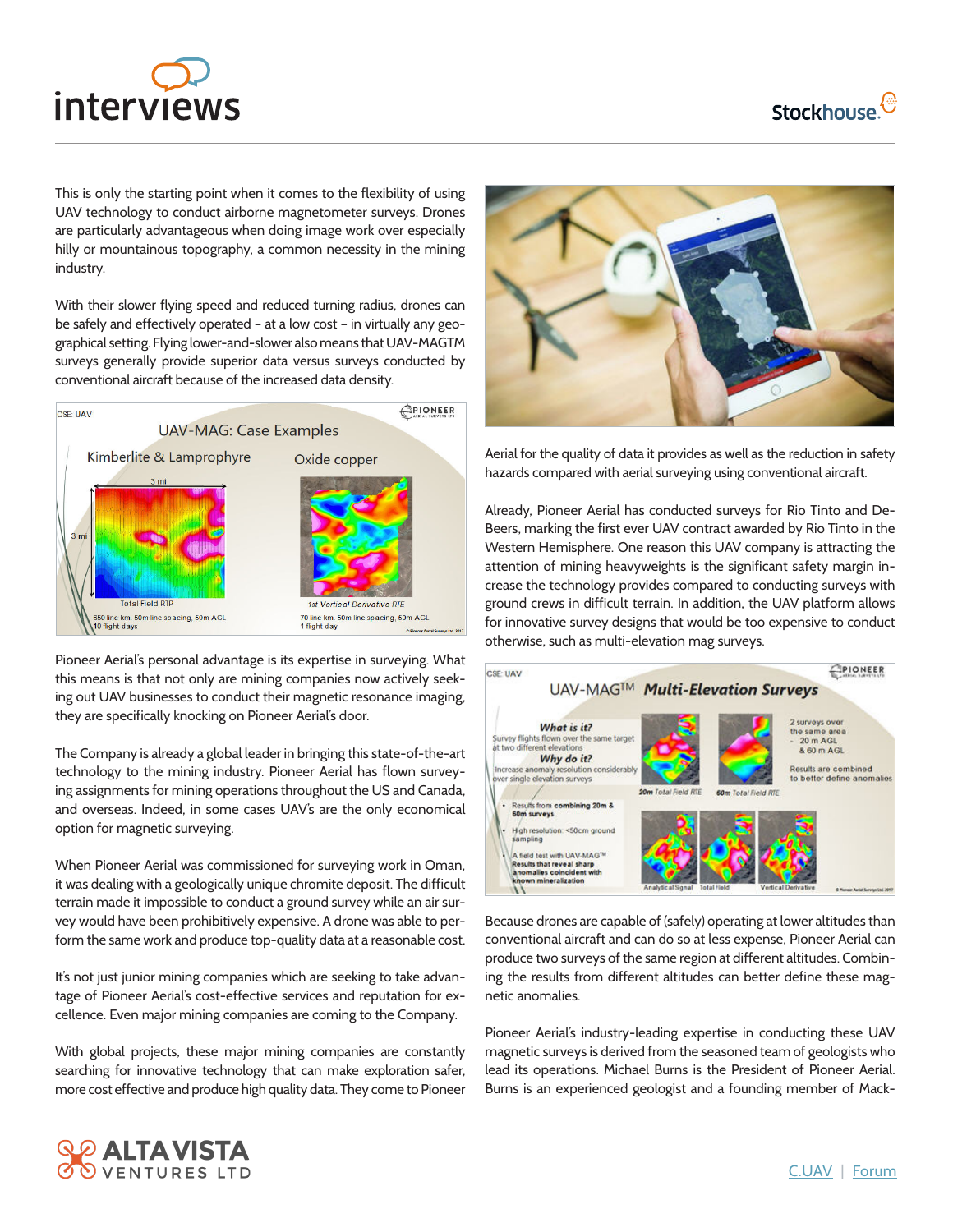

**Stockhouse.** 

This is only the starting point when it comes to the flexibility of using UAV technology to conduct airborne magnetometer surveys. Drones are particularly advantageous when doing image work over especially hilly or mountainous topography, a common necessity in the mining industry.

With their slower flying speed and reduced turning radius, drones can be safely and effectively operated – at a low cost – in virtually any geographical setting. Flying lower-and-slower also means that UAV-MAGTM surveys generally provide superior data versus surveys conducted by conventional aircraft because of the increased data density.



Pioneer Aerial's personal advantage is its expertise in surveying. What this means is that not only are mining companies now actively seeking out UAV businesses to conduct their magnetic resonance imaging, they are specifically knocking on Pioneer Aerial's door.

The Company is already a global leader in bringing this state-of-the-art technology to the mining industry. Pioneer Aerial has flown surveying assignments for mining operations throughout the US and Canada, and overseas. Indeed, in some cases UAV's are the only economical option for magnetic surveying.

When Pioneer Aerial was commissioned for surveying work in Oman, it was dealing with a geologically unique chromite deposit. The difficult terrain made it impossible to conduct a ground survey while an air survey would have been prohibitively expensive. A drone was able to perform the same work and produce top-quality data at a reasonable cost.

It's not just junior mining companies which are seeking to take advantage of Pioneer Aerial's cost-effective services and reputation for excellence. Even major mining companies are coming to the Company.

With global projects, these major mining companies are constantly searching for innovative technology that can make exploration safer, more cost effective and produce high quality data. They come to Pioneer



Aerial for the quality of data it provides as well as the reduction in safety hazards compared with aerial surveying using conventional aircraft.

Already, Pioneer Aerial has conducted surveys for Rio Tinto and De-Beers, marking the first ever UAV contract awarded by Rio Tinto in the Western Hemisphere. One reason this UAV company is attracting the attention of mining heavyweights is the significant safety margin increase the technology provides compared to conducting surveys with ground crews in difficult terrain. In addition, the UAV platform allows for innovative survey designs that would be too expensive to conduct otherwise, such as multi-elevation mag surveys.



Because drones are capable of (safely) operating at lower altitudes than conventional aircraft and can do so at less expense, Pioneer Aerial can produce two surveys of the same region at different altitudes. Combining the results from different altitudes can better define these magnetic anomalies.

Pioneer Aerial's industry-leading expertise in conducting these UAV magnetic surveys is derived from the seasoned team of geologists who lead its operations. Michael Burns is the President of Pioneer Aerial. Burns is an experienced geologist and a founding member of Mack-